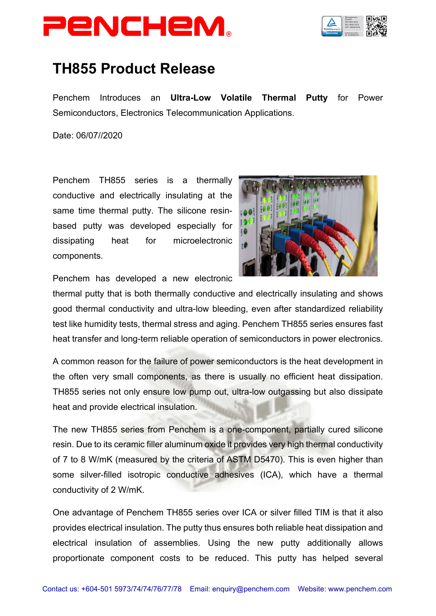



## **TH855 Product Release**

Penchem Introduces an **Ultra-Low Volatile Thermal Putty** for Power Semiconductors, Electronics Telecommunication Applications.

Date: 06/07//2020

Penchem TH855 series is a thermally conductive and electrically insulating at the same time thermal putty. The silicone resinbased putty was developed especially for dissipating heat for microelectronic components.



Penchem has developed a new electronic

thermal putty that is both thermally conductive and electrically insulating and shows good thermal conductivity and ultra-low bleeding, even after standardized reliability test like humidity tests, thermal stress and aging. Penchem TH855 series ensures fast heat transfer and long-term reliable operation of semiconductors in power electronics.

A common reason for the failure of power semiconductors is the heat development in the often very small components, as there is usually no efficient heat dissipation. TH855 series not only ensure low pump out, ultra-low outgassing but also dissipate heat and provide electrical insulation.

The new TH855 series from Penchem is a one-component, partially cured silicone resin. Due to its ceramic filler aluminum oxide it provides very high thermal conductivity of 7 to 8 W/mK (measured by the criteria of ASTM D5470). This is even higher than some silver-filled isotropic conductive adhesives (ICA), which have a thermal conductivity of 2 W/mK.

One advantage of Penchem TH855 series over ICA or silver filled TIM is that it also provides electrical insulation. The putty thus ensures both reliable heat dissipation and electrical insulation of assemblies. Using the new putty additionally allows proportionate component costs to be reduced. This putty has helped several